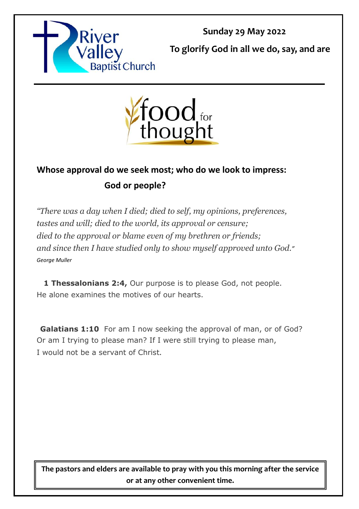

**Sunday 29 May 2022**

**To glorify God in all we do, say, and are** 



## **Whose approval do we seek most; who do we look to impress: God or people?**

*"There was a day when I died; died to self, my opinions, preferences, tastes and will; died to the world, its approval or censure; died to the approval or blame even of my brethren or friends; and since then I have studied only to show myself approved unto God." George Muller*

**1 Thessalonians 2:4,** Our purpose is to please God, not people. He alone examines the motives of our hearts.

**Galatians 1:10** For am I now seeking the approval of man, or of God? Or am I trying to please man? If I were still trying to please man, I would not be a servant of Christ*.*

**The pastors and elders are available to pray with you this morning after the service or at any other convenient time.**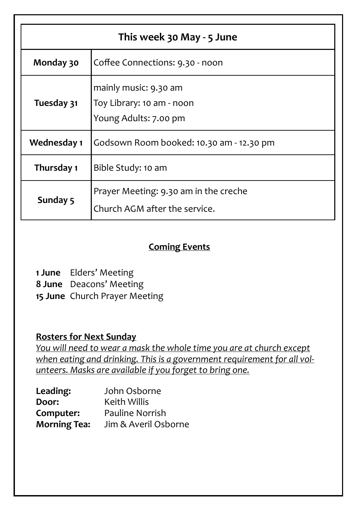| This week 30 May - 5 June |                                                                             |  |
|---------------------------|-----------------------------------------------------------------------------|--|
| Monday 30                 | Coffee Connections: 9.30 - noon                                             |  |
| Tuesday 31                | mainly music: 9.30 am<br>Toy Library: 10 am - noon<br>Young Adults: 7.00 pm |  |
| Wednesday 1               | Godsown Room booked: 10.30 am - 12.30 pm                                    |  |
| Thursday 1                | Bible Study: 10 am                                                          |  |
| Sunday 5                  | Prayer Meeting: 9.30 am in the creche<br>Church AGM after the service.      |  |

#### **Coming Events**

**1 June** Elders' Meeting

**8 June** Deacons' Meeting

**15 June** Church Prayer Meeting

#### **Rosters for Next Sunday**

*You will need to wear a mask the whole time you are at church except when eating and drinking. This is a government requirement for all volunteers. Masks are available if you forget to bring one.*

| Leading:            | John Osborne           |
|---------------------|------------------------|
| Door:               | <b>Keith Willis</b>    |
| Computer:           | <b>Pauline Norrish</b> |
| <b>Morning Tea:</b> | Jim & Averil Osborne   |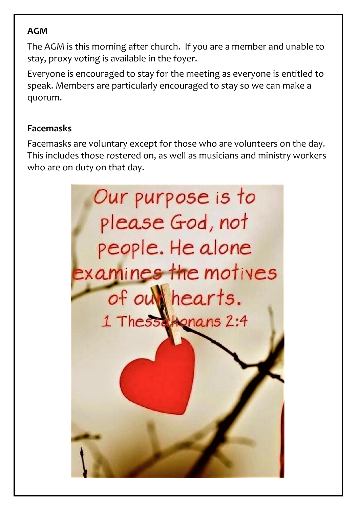### **AGM**

The AGM is this morning after church. If you are a member and unable to stay, proxy voting is available in the foyer.

Everyone is encouraged to stay for the meeting as everyone is entitled to speak. Members are particularly encouraged to stay so we can make a quorum.

### **Facemasks**

Facemasks are voluntary except for those who are volunteers on the day. This includes those rostered on, as well as musicians and ministry workers who are on duty on that day.